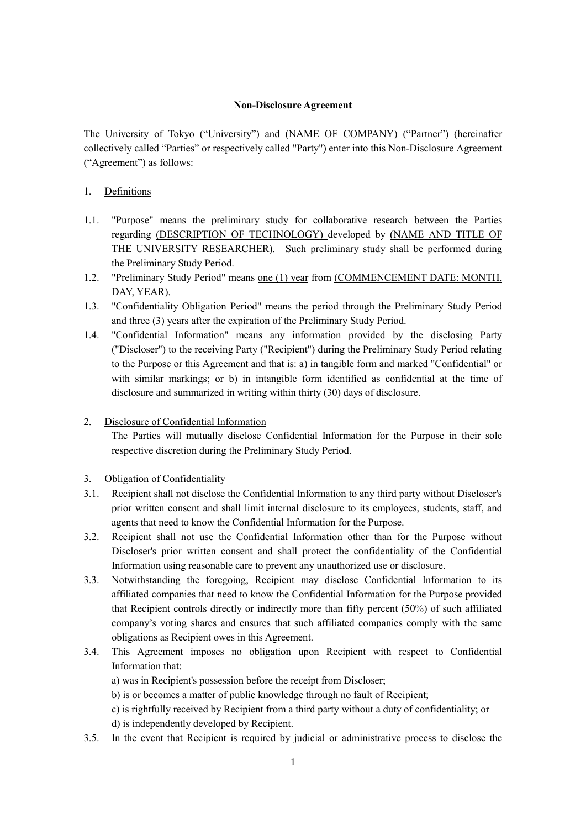### **Non-Disclosure Agreement**

The University of Tokyo ("University") and (NAME OF COMPANY) ("Partner") (hereinafter collectively called "Parties" or respectively called "Party") enter into this Non-Disclosure Agreement ("Agreement") as follows:

# 1. Definitions

- 1.1. "Purpose" means the preliminary study for collaborative research between the Parties regarding (DESCRIPTION OF TECHNOLOGY) developed by (NAME AND TITLE OF THE UNIVERSITY RESEARCHER). Such preliminary study shall be performed during the Preliminary Study Period.
- 1.2. "Preliminary Study Period" means one (1) year from (COMMENCEMENT DATE: MONTH, DAY, YEAR).
- 1.3. "Confidentiality Obligation Period" means the period through the Preliminary Study Period and three (3) years after the expiration of the Preliminary Study Period.
- 1.4. "Confidential Information" means any information provided by the disclosing Party ("Discloser") to the receiving Party ("Recipient") during the Preliminary Study Period relating to the Purpose or this Agreement and that is: a) in tangible form and marked "Confidential" or with similar markings; or b) in intangible form identified as confidential at the time of disclosure and summarized in writing within thirty (30) days of disclosure.
- 2. Disclosure of Confidential Information

The Parties will mutually disclose Confidential Information for the Purpose in their sole respective discretion during the Preliminary Study Period.

- 3. Obligation of Confidentiality
- 3.1. Recipient shall not disclose the Confidential Information to any third party without Discloser's prior written consent and shall limit internal disclosure to its employees, students, staff, and agents that need to know the Confidential Information for the Purpose.
- 3.2. Recipient shall not use the Confidential Information other than for the Purpose without Discloser's prior written consent and shall protect the confidentiality of the Confidential Information using reasonable care to prevent any unauthorized use or disclosure.
- 3.3. Notwithstanding the foregoing, Recipient may disclose Confidential Information to its affiliated companies that need to know the Confidential Information for the Purpose provided that Recipient controls directly or indirectly more than fifty percent (50%) of such affiliated company's voting shares and ensures that such affiliated companies comply with the same obligations as Recipient owes in this Agreement.
- 3.4. This Agreement imposes no obligation upon Recipient with respect to Confidential Information that:
	- a) was in Recipient's possession before the receipt from Discloser;
	- b) is or becomes a matter of public knowledge through no fault of Recipient;
	- c) is rightfully received by Recipient from a third party without a duty of confidentiality; or
	- d) is independently developed by Recipient.
- 3.5. In the event that Recipient is required by judicial or administrative process to disclose the